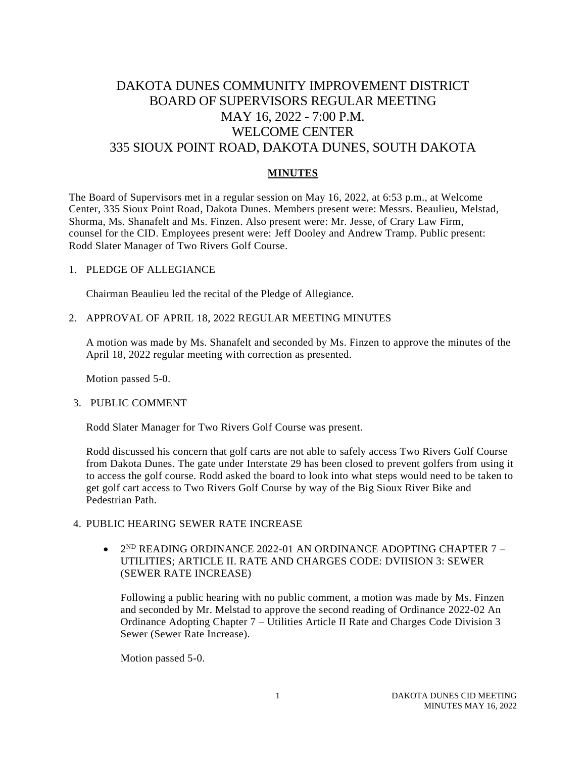# DAKOTA DUNES COMMUNITY IMPROVEMENT DISTRICT BOARD OF SUPERVISORS REGULAR MEETING MAY 16, 2022 - 7:00 P.M. WELCOME CENTER 335 SIOUX POINT ROAD, DAKOTA DUNES, SOUTH DAKOTA

# **MINUTES**

The Board of Supervisors met in a regular session on May 16, 2022, at 6:53 p.m., at Welcome Center, 335 Sioux Point Road, Dakota Dunes. Members present were: Messrs. Beaulieu, Melstad, Shorma, Ms. Shanafelt and Ms. Finzen. Also present were: Mr. Jesse, of Crary Law Firm, counsel for the CID. Employees present were: Jeff Dooley and Andrew Tramp. Public present: Rodd Slater Manager of Two Rivers Golf Course.

#### 1. PLEDGE OF ALLEGIANCE

Chairman Beaulieu led the recital of the Pledge of Allegiance.

2. APPROVAL OF APRIL 18, 2022 REGULAR MEETING MINUTES

A motion was made by Ms. Shanafelt and seconded by Ms. Finzen to approve the minutes of the April 18, 2022 regular meeting with correction as presented.

Motion passed 5-0.

# 3. PUBLIC COMMENT

Rodd Slater Manager for Two Rivers Golf Course was present.

Rodd discussed his concern that golf carts are not able to safely access Two Rivers Golf Course from Dakota Dunes. The gate under Interstate 29 has been closed to prevent golfers from using it to access the golf course. Rodd asked the board to look into what steps would need to be taken to get golf cart access to Two Rivers Golf Course by way of the Big Sioux River Bike and Pedestrian Path.

# 4. PUBLIC HEARING SEWER RATE INCREASE

 $\bullet$  2<sup>ND</sup> READING ORDINANCE 2022-01 AN ORDINANCE ADOPTING CHAPTER 7 -UTILITIES; ARTICLE II. RATE AND CHARGES CODE: DVIISION 3: SEWER (SEWER RATE INCREASE)

Following a public hearing with no public comment, a motion was made by Ms. Finzen and seconded by Mr. Melstad to approve the second reading of Ordinance 2022-02 An Ordinance Adopting Chapter 7 – Utilities Article II Rate and Charges Code Division 3 Sewer (Sewer Rate Increase).

Motion passed 5-0.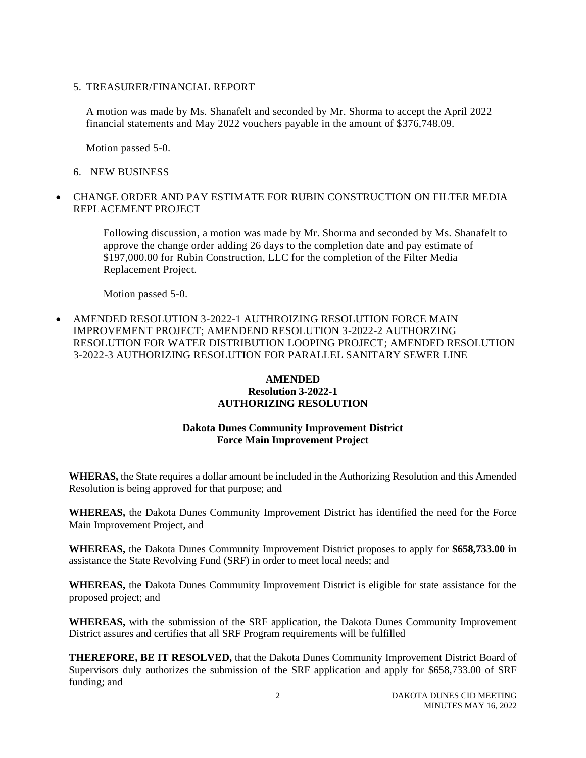5. TREASURER/FINANCIAL REPORT

A motion was made by Ms. Shanafelt and seconded by Mr. Shorma to accept the April 2022 financial statements and May 2022 vouchers payable in the amount of \$376,748.09.

Motion passed 5-0.

- 6. NEW BUSINESS
- CHANGE ORDER AND PAY ESTIMATE FOR RUBIN CONSTRUCTION ON FILTER MEDIA REPLACEMENT PROJECT

Following discussion, a motion was made by Mr. Shorma and seconded by Ms. Shanafelt to approve the change order adding 26 days to the completion date and pay estimate of \$197,000.00 for Rubin Construction, LLC for the completion of the Filter Media Replacement Project.

Motion passed 5-0.

• AMENDED RESOLUTION 3-2022-1 AUTHROIZING RESOLUTION FORCE MAIN IMPROVEMENT PROJECT; AMENDEND RESOLUTION 3-2022-2 AUTHORZING RESOLUTION FOR WATER DISTRIBUTION LOOPING PROJECT; AMENDED RESOLUTION 3-2022-3 AUTHORIZING RESOLUTION FOR PARALLEL SANITARY SEWER LINE

# **AMENDED Resolution 3-2022-1 AUTHORIZING RESOLUTION**

# **Dakota Dunes Community Improvement District Force Main Improvement Project**

**WHERAS,** the State requires a dollar amount be included in the Authorizing Resolution and this Amended Resolution is being approved for that purpose; and

**WHEREAS,** the Dakota Dunes Community Improvement District has identified the need for the Force Main Improvement Project, and

**WHEREAS,** the Dakota Dunes Community Improvement District proposes to apply for **\$658,733.00 in** assistance the State Revolving Fund (SRF) in order to meet local needs; and

**WHEREAS,** the Dakota Dunes Community Improvement District is eligible for state assistance for the proposed project; and

**WHEREAS,** with the submission of the SRF application, the Dakota Dunes Community Improvement District assures and certifies that all SRF Program requirements will be fulfilled

**THEREFORE, BE IT RESOLVED,** that the Dakota Dunes Community Improvement District Board of Supervisors duly authorizes the submission of the SRF application and apply for \$658,733.00 of SRF funding; and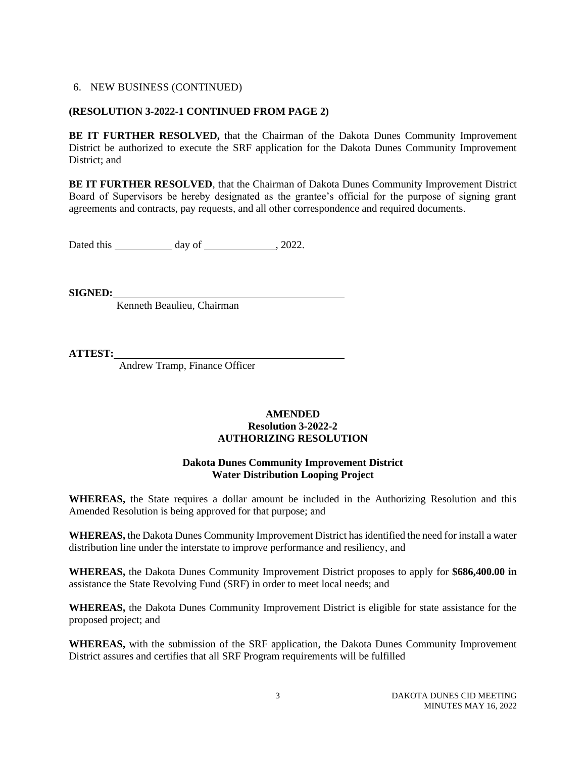#### **(RESOLUTION 3-2022-1 CONTINUED FROM PAGE 2)**

**BE IT FURTHER RESOLVED,** that the Chairman of the Dakota Dunes Community Improvement District be authorized to execute the SRF application for the Dakota Dunes Community Improvement District; and

**BE IT FURTHER RESOLVED**, that the Chairman of Dakota Dunes Community Improvement District Board of Supervisors be hereby designated as the grantee's official for the purpose of signing grant agreements and contracts, pay requests, and all other correspondence and required documents.

Dated this \_\_\_\_\_\_\_\_\_\_\_\_ day of \_\_\_\_\_\_\_\_\_\_\_\_\_\_, 2022.

**SIGNED:**

Kenneth Beaulieu, Chairman

**ATTEST:**

Andrew Tramp, Finance Officer

# **AMENDED Resolution 3-2022-2 AUTHORIZING RESOLUTION**

#### **Dakota Dunes Community Improvement District Water Distribution Looping Project**

**WHEREAS,** the State requires a dollar amount be included in the Authorizing Resolution and this Amended Resolution is being approved for that purpose; and

**WHEREAS,** the Dakota Dunes Community Improvement District has identified the need for install a water distribution line under the interstate to improve performance and resiliency, and

**WHEREAS,** the Dakota Dunes Community Improvement District proposes to apply for **\$686,400.00 in** assistance the State Revolving Fund (SRF) in order to meet local needs; and

**WHEREAS,** the Dakota Dunes Community Improvement District is eligible for state assistance for the proposed project; and

**WHEREAS,** with the submission of the SRF application, the Dakota Dunes Community Improvement District assures and certifies that all SRF Program requirements will be fulfilled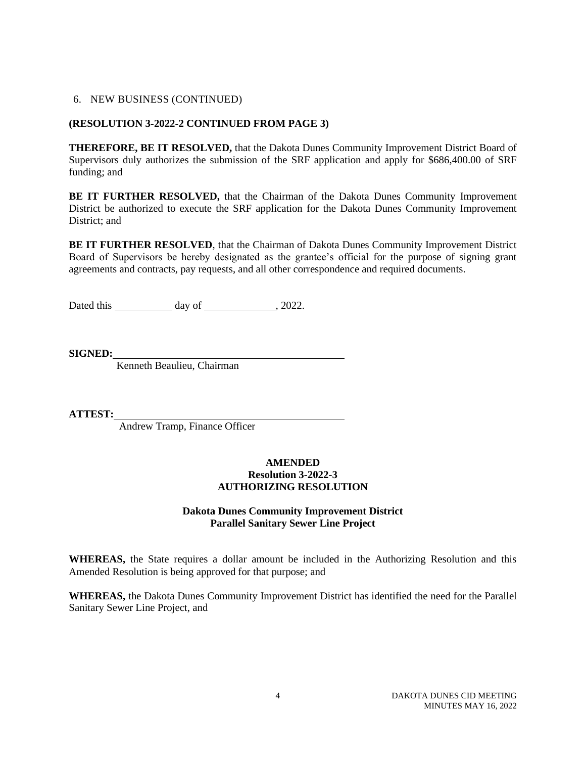# **(RESOLUTION 3-2022-2 CONTINUED FROM PAGE 3)**

**THEREFORE, BE IT RESOLVED,** that the Dakota Dunes Community Improvement District Board of Supervisors duly authorizes the submission of the SRF application and apply for \$686,400.00 of SRF funding; and

**BE IT FURTHER RESOLVED,** that the Chairman of the Dakota Dunes Community Improvement District be authorized to execute the SRF application for the Dakota Dunes Community Improvement District; and

**BE IT FURTHER RESOLVED**, that the Chairman of Dakota Dunes Community Improvement District Board of Supervisors be hereby designated as the grantee's official for the purpose of signing grant agreements and contracts, pay requests, and all other correspondence and required documents.

Dated this day of 3022.

**SIGNED:**

Kenneth Beaulieu, Chairman

**ATTEST:**

Andrew Tramp, Finance Officer

#### **AMENDED Resolution 3-2022-3 AUTHORIZING RESOLUTION**

# **Dakota Dunes Community Improvement District Parallel Sanitary Sewer Line Project**

**WHEREAS,** the State requires a dollar amount be included in the Authorizing Resolution and this Amended Resolution is being approved for that purpose; and

**WHEREAS,** the Dakota Dunes Community Improvement District has identified the need for the Parallel Sanitary Sewer Line Project, and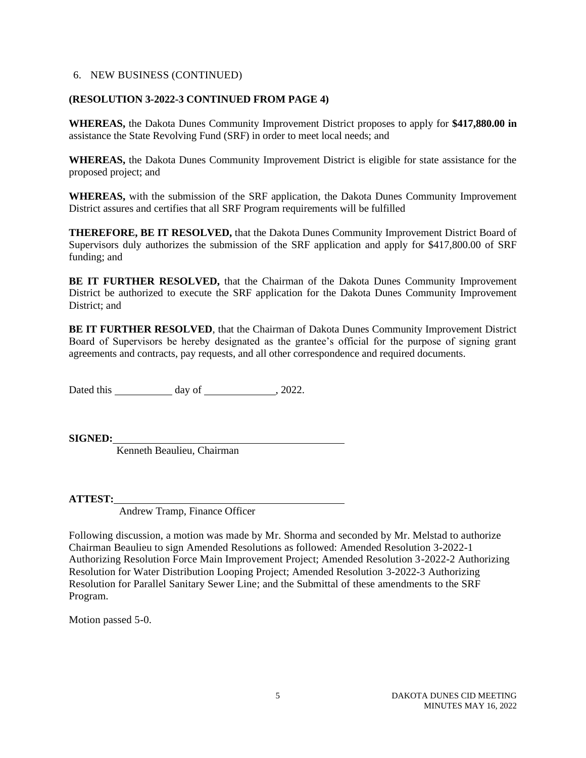#### **(RESOLUTION 3-2022-3 CONTINUED FROM PAGE 4)**

**WHEREAS,** the Dakota Dunes Community Improvement District proposes to apply for **\$417,880.00 in** assistance the State Revolving Fund (SRF) in order to meet local needs; and

**WHEREAS,** the Dakota Dunes Community Improvement District is eligible for state assistance for the proposed project; and

**WHEREAS,** with the submission of the SRF application, the Dakota Dunes Community Improvement District assures and certifies that all SRF Program requirements will be fulfilled

**THEREFORE, BE IT RESOLVED,** that the Dakota Dunes Community Improvement District Board of Supervisors duly authorizes the submission of the SRF application and apply for \$417,800.00 of SRF funding; and

**BE IT FURTHER RESOLVED,** that the Chairman of the Dakota Dunes Community Improvement District be authorized to execute the SRF application for the Dakota Dunes Community Improvement District; and

**BE IT FURTHER RESOLVED**, that the Chairman of Dakota Dunes Community Improvement District Board of Supervisors be hereby designated as the grantee's official for the purpose of signing grant agreements and contracts, pay requests, and all other correspondence and required documents.

Dated this  $\frac{1}{2}$  day of  $\frac{1}{2}$ , 2022.

**SIGNED:**

Kenneth Beaulieu, Chairman

**ATTEST:**

Andrew Tramp, Finance Officer

Following discussion, a motion was made by Mr. Shorma and seconded by Mr. Melstad to authorize Chairman Beaulieu to sign Amended Resolutions as followed: Amended Resolution 3-2022-1 Authorizing Resolution Force Main Improvement Project; Amended Resolution 3-2022-2 Authorizing Resolution for Water Distribution Looping Project; Amended Resolution 3-2022-3 Authorizing Resolution for Parallel Sanitary Sewer Line; and the Submittal of these amendments to the SRF Program.

Motion passed 5-0.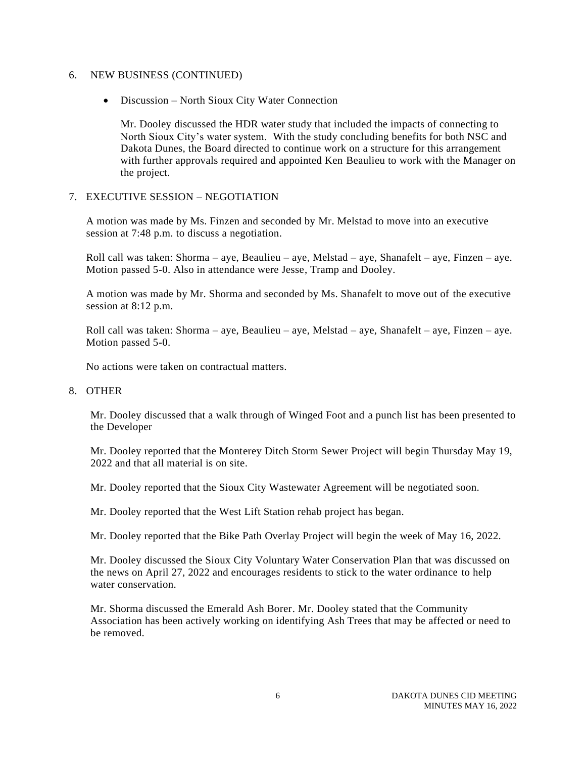• Discussion – North Sioux City Water Connection

Mr. Dooley discussed the HDR water study that included the impacts of connecting to North Sioux City's water system. With the study concluding benefits for both NSC and Dakota Dunes, the Board directed to continue work on a structure for this arrangement with further approvals required and appointed Ken Beaulieu to work with the Manager on the project.

#### 7. EXECUTIVE SESSION – NEGOTIATION

A motion was made by Ms. Finzen and seconded by Mr. Melstad to move into an executive session at 7:48 p.m. to discuss a negotiation.

Roll call was taken: Shorma – aye, Beaulieu – aye, Melstad – aye, Shanafelt – aye, Finzen – aye. Motion passed 5-0. Also in attendance were Jesse, Tramp and Dooley.

A motion was made by Mr. Shorma and seconded by Ms. Shanafelt to move out of the executive session at 8:12 p.m.

Roll call was taken: Shorma – aye, Beaulieu – aye, Melstad – aye, Shanafelt – aye, Finzen – aye. Motion passed 5-0.

No actions were taken on contractual matters.

#### 8. OTHER

Mr. Dooley discussed that a walk through of Winged Foot and a punch list has been presented to the Developer

Mr. Dooley reported that the Monterey Ditch Storm Sewer Project will begin Thursday May 19, 2022 and that all material is on site.

Mr. Dooley reported that the Sioux City Wastewater Agreement will be negotiated soon.

Mr. Dooley reported that the West Lift Station rehab project has began.

Mr. Dooley reported that the Bike Path Overlay Project will begin the week of May 16, 2022.

Mr. Dooley discussed the Sioux City Voluntary Water Conservation Plan that was discussed on the news on April 27, 2022 and encourages residents to stick to the water ordinance to help water conservation.

Mr. Shorma discussed the Emerald Ash Borer. Mr. Dooley stated that the Community Association has been actively working on identifying Ash Trees that may be affected or need to be removed.